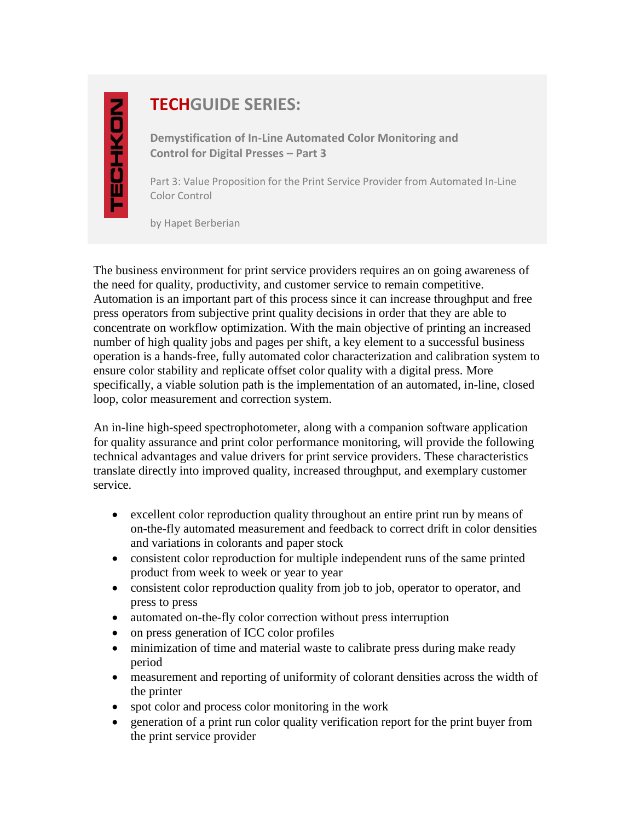## **TECHGUIDE SERIES:**

**Demystification of In-Line Automated Color Monitoring and Control for Digital Presses – Part 3**

Part 3: Value Proposition for the Print Service Provider from Automated In-Line Color Control

by Hapet Berberian

The business environment for print service providers requires an on going awareness of the need for quality, productivity, and customer service to remain competitive. Automation is an important part of this process since it can increase throughput and free press operators from subjective print quality decisions in order that they are able to concentrate on workflow optimization. With the main objective of printing an increased number of high quality jobs and pages per shift, a key element to a successful business operation is a hands-free, fully automated color characterization and calibration system to ensure color stability and replicate offset color quality with a digital press. More specifically, a viable solution path is the implementation of an automated, in-line, closed loop, color measurement and correction system.

An in-line high-speed spectrophotometer, along with a companion software application for quality assurance and print color performance monitoring, will provide the following technical advantages and value drivers for print service providers. These characteristics translate directly into improved quality, increased throughput, and exemplary customer service.

- excellent color reproduction quality throughout an entire print run by means of on-the-fly automated measurement and feedback to correct drift in color densities and variations in colorants and paper stock
- consistent color reproduction for multiple independent runs of the same printed product from week to week or year to year
- consistent color reproduction quality from job to job, operator to operator, and press to press
- automated on-the-fly color correction without press interruption
- on press generation of ICC color profiles
- minimization of time and material waste to calibrate press during make ready period
- measurement and reporting of uniformity of colorant densities across the width of the printer
- spot color and process color monitoring in the work
- generation of a print run color quality verification report for the print buyer from the print service provider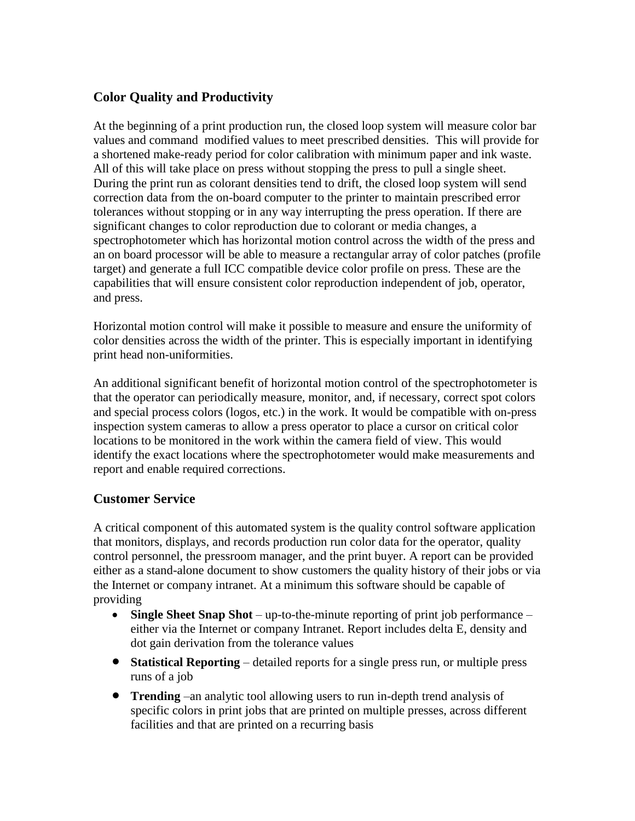## **Color Quality and Productivity**

At the beginning of a print production run, the closed loop system will measure color bar values and command modified values to meet prescribed densities. This will provide for a shortened make-ready period for color calibration with minimum paper and ink waste. All of this will take place on press without stopping the press to pull a single sheet. During the print run as colorant densities tend to drift, the closed loop system will send correction data from the on-board computer to the printer to maintain prescribed error tolerances without stopping or in any way interrupting the press operation. If there are significant changes to color reproduction due to colorant or media changes, a spectrophotometer which has horizontal motion control across the width of the press and an on board processor will be able to measure a rectangular array of color patches (profile target) and generate a full ICC compatible device color profile on press. These are the capabilities that will ensure consistent color reproduction independent of job, operator, and press.

Horizontal motion control will make it possible to measure and ensure the uniformity of color densities across the width of the printer. This is especially important in identifying print head non-uniformities.

An additional significant benefit of horizontal motion control of the spectrophotometer is that the operator can periodically measure, monitor, and, if necessary, correct spot colors and special process colors (logos, etc.) in the work. It would be compatible with on-press inspection system cameras to allow a press operator to place a cursor on critical color locations to be monitored in the work within the camera field of view. This would identify the exact locations where the spectrophotometer would make measurements and report and enable required corrections.

## **Customer Service**

A critical component of this automated system is the quality control software application that monitors, displays, and records production run color data for the operator, quality control personnel, the pressroom manager, and the print buyer. A report can be provided either as a stand-alone document to show customers the quality history of their jobs or via the Internet or company intranet. At a minimum this software should be capable of providing

- **Single Sheet Snap Shot** up-to-the-minute reporting of print job performance either via the Internet or company Intranet. Report includes delta E, density and dot gain derivation from the tolerance values
- **Statistical Reporting** detailed reports for a single press run, or multiple press runs of a job
- **Trending** –an analytic tool allowing users to run in-depth trend analysis of specific colors in print jobs that are printed on multiple presses, across different facilities and that are printed on a recurring basis